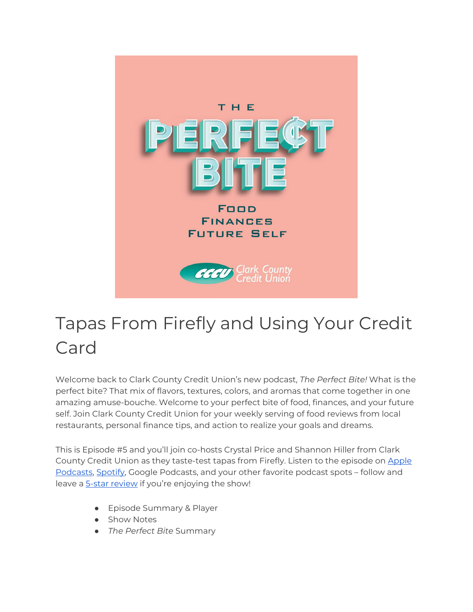

# Tapas From Firefly and Using Your Credit Card

Welcome back to Clark County Credit Union's new podcast, *The Perfect Bite!* What is the perfect bite? That mix of flavors, textures, colors, and aromas that come together in one amazing amuse-bouche. Welcome to your perfect bite of food, finances, and your future self. Join Clark County Credit Union for your weekly serving of food reviews from local restaurants, personal finance tips, and action to realize your goals and dreams.

This is Episode #5 and you'll join co-hosts Crystal Price and Shannon Hiller from Clark County Credit Union as they taste-test tapas from Firefly. Listen to the episode on [Apple](https://podcasts.apple.com/us/podcast/the-perfect-bite/id1604656448)  [Podcasts,](https://podcasts.apple.com/us/podcast/the-perfect-bite/id1604656448) [Spotify,](https://open.spotify.com/show/7tNPJZBNHabGWEFmjnHaxR?si=a0a7808911264628) Google Podcasts, and your other favorite podcast spots – follow and leave a [5-star review](https://podcasts.apple.com/us/podcast/the-perfect-bite/id1604656448) if you're enjoying the show!

- Episode Summary & Player
- Show Notes
- *The Perfect Bite* Summary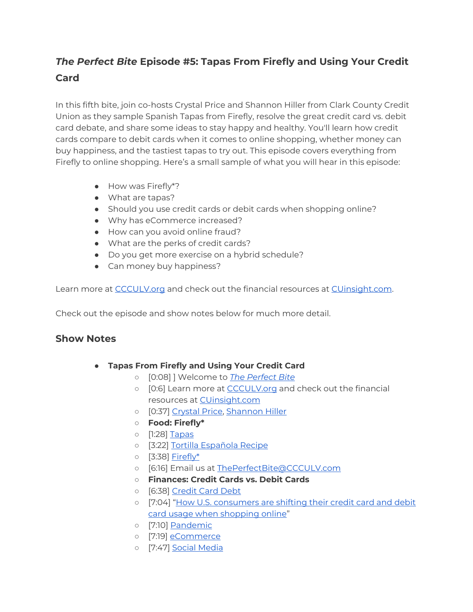## *The Perfect Bite* **Episode #5: Tapas From Firefly and Using Your Credit Card**

In this fifth bite, join co-hosts Crystal Price and Shannon Hiller from Clark County Credit Union as they sample Spanish Tapas from Firefly, resolve the great credit card vs. debit card debate, and share some ideas to stay happy and healthy. You'll learn how credit cards compare to debit cards when it comes to online shopping, whether money can buy happiness, and the tastiest tapas to try out. This episode covers everything from Firefly to online shopping. Here's a small sample of what you will hear in this episode:

- How was Firefly\*?
- What are tapas?
- Should you use credit cards or debit cards when shopping online?
- Why has eCommerce increased?
- How can you avoid online fraud?
- What are the perks of credit cards?
- Do you get more exercise on a hybrid schedule?
- Can money buy happiness?

Learn more at [CCCULV.org](https://www.ccculv.org/) and check out the financial resources at [CUinsight.com.](https://www.cuinsight.com/)

Check out the episode and show notes below for much more detail.

#### **Show Notes**

- **Tapas From Firefly and Using Your Credit Card**
	- [0:08] ] Welcome to *[The Perfect Bite](https://www.ccculv.org/)*
	- [0:6] Learn more at [CCCULV.org](https://www.ccculv.org/) and check out the financial resources at [CUinsight.com](https://www.cuinsight.com/)
	- [0:37[\] Crystal Price, Shannon Hiller](https://www.ccculv.org/Our-Mission.aspx)
	- **Food: Firefly\***
	- [1:28] [Tapas](https://www.fireflylv.com/)
	- [3:22] [Tortilla Española Recipe](https://www.allrecipes.com/recipe/147109/tortilla-espanola-spanish-tortilla/)
	- [3:38] [Firefly\\*](https://www.fireflylv.com/)
	- [6:16] Email us at [ThePerfectBite@CCCULV.com](mailto:ThePerfectBite@CCCULV.org)
	- **Finances: Credit Cards vs. Debit Cards**
	- [6:38] [Credit Card Debt](https://www.nerdwallet.com/article/finance/credit-card-debt)
	- o [7:04] "How U.S. consumers are shifting their credit card and debit [card usage when shopping online"](https://www.cuinsight.com/how-u-s-consumers-are-shifting-their-credit-card-and-debit-card-usage-when-shopping-online.html)
	- [7:10] [Pandemic](https://www.cdc.gov/coronavirus/2019-ncov/index.html)
	- o [7:19] [eCommerce](https://searchcio.techtarget.com/definition/e-commerce#:%7E:text=E%2Dcommerce%20(electronic%20commerce),or%20consumer%2Dto%2Dbusiness.)
	- o [7:47] [Social Media](https://www.socialmediaexaminer.com/)